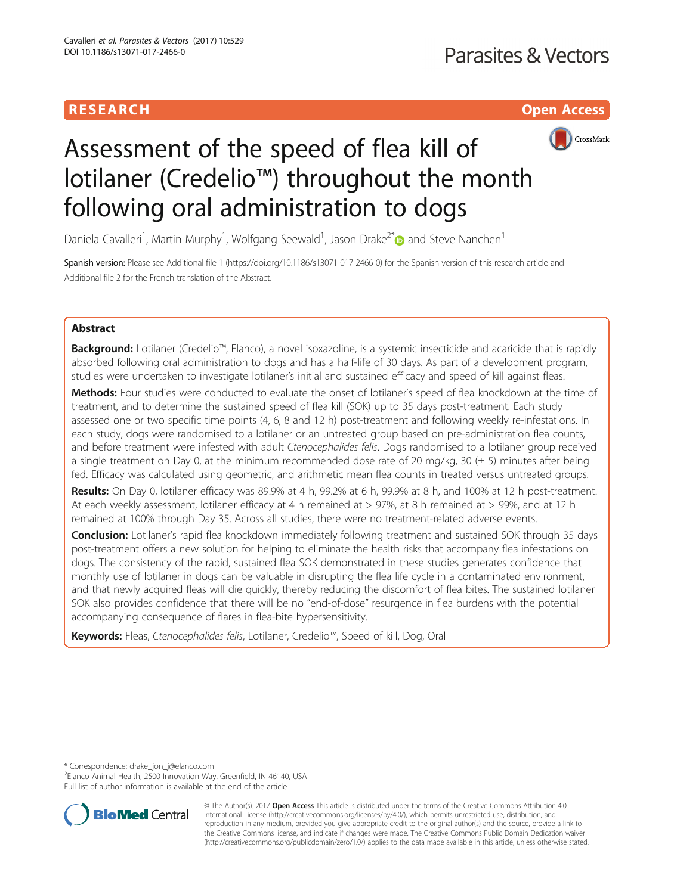# RESEARCH **RESEARCH CHEART CHEART CHEART CHEAPTER**



# Assessment of the speed of flea kill of lotilaner (Credelio™) throughout the month following oral administration to dogs

Daniela Cavalleri<sup>1</sup>, Martin Murphy<sup>1</sup>, Wolfgang Seewald<sup>1</sup>, Jason Drake<sup>2\*</sup>@ and Steve Nanchen<sup>1</sup>

Spanish version: Please see Additional file [1](#page-6-0) (https://doi.org/10.1186/s13071-017-2466-0) for the Spanish version of this research article and Additional file [2](#page-6-0) for the French translation of the Abstract.

# Abstract

Background: Lotilaner (Credelio™, Elanco), a novel isoxazoline, is a systemic insecticide and acaricide that is rapidly absorbed following oral administration to dogs and has a half-life of 30 days. As part of a development program, studies were undertaken to investigate lotilaner's initial and sustained efficacy and speed of kill against fleas.

Methods: Four studies were conducted to evaluate the onset of lotilaner's speed of flea knockdown at the time of treatment, and to determine the sustained speed of flea kill (SOK) up to 35 days post-treatment. Each study assessed one or two specific time points (4, 6, 8 and 12 h) post-treatment and following weekly re-infestations. In each study, dogs were randomised to a lotilaner or an untreated group based on pre-administration flea counts, and before treatment were infested with adult Ctenocephalides felis. Dogs randomised to a lotilaner group received a single treatment on Day 0, at the minimum recommended dose rate of 20 mg/kg, 30  $(\pm 5)$  minutes after being fed. Efficacy was calculated using geometric, and arithmetic mean flea counts in treated versus untreated groups.

Results: On Day 0, lotilaner efficacy was 89.9% at 4 h, 99.2% at 6 h, 99.9% at 8 h, and 100% at 12 h post-treatment. At each weekly assessment, lotilaner efficacy at 4 h remained at > 97%, at 8 h remained at > 99%, and at 12 h remained at 100% through Day 35. Across all studies, there were no treatment-related adverse events.

Conclusion: Lotilaner's rapid flea knockdown immediately following treatment and sustained SOK through 35 days post-treatment offers a new solution for helping to eliminate the health risks that accompany flea infestations on dogs. The consistency of the rapid, sustained flea SOK demonstrated in these studies generates confidence that monthly use of lotilaner in dogs can be valuable in disrupting the flea life cycle in a contaminated environment, and that newly acquired fleas will die quickly, thereby reducing the discomfort of flea bites. The sustained lotilaner SOK also provides confidence that there will be no "end-of-dose" resurgence in flea burdens with the potential accompanying consequence of flares in flea-bite hypersensitivity.

Keywords: Fleas, Ctenocephalides felis, Lotilaner, Credelio™, Speed of kill, Dog, Oral

\* Correspondence: [drake\\_jon\\_j@elanco.com](mailto:drake_jon_j@elanco.com) <sup>2</sup>

<sup>2</sup> Elanco Animal Health, 2500 Innovation Way, Greenfield, IN 46140, USA Full list of author information is available at the end of the article



© The Author(s). 2017 **Open Access** This article is distributed under the terms of the Creative Commons Attribution 4.0 International License [\(http://creativecommons.org/licenses/by/4.0/](http://creativecommons.org/licenses/by/4.0/)), which permits unrestricted use, distribution, and reproduction in any medium, provided you give appropriate credit to the original author(s) and the source, provide a link to the Creative Commons license, and indicate if changes were made. The Creative Commons Public Domain Dedication waiver [\(http://creativecommons.org/publicdomain/zero/1.0/](http://creativecommons.org/publicdomain/zero/1.0/)) applies to the data made available in this article, unless otherwise stated.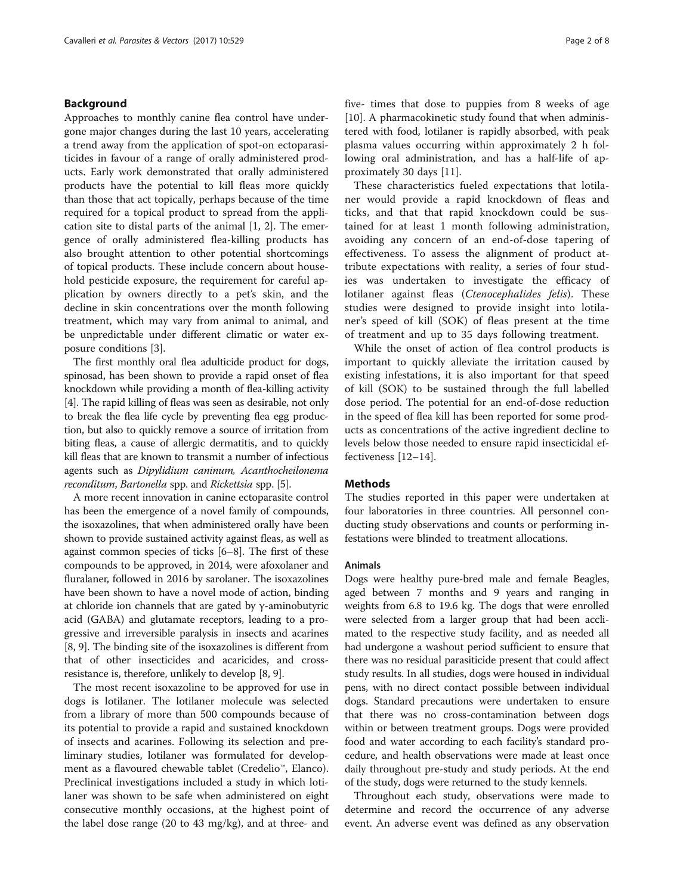# Background

Approaches to monthly canine flea control have undergone major changes during the last 10 years, accelerating a trend away from the application of spot-on ectoparasiticides in favour of a range of orally administered products. Early work demonstrated that orally administered products have the potential to kill fleas more quickly than those that act topically, perhaps because of the time required for a topical product to spread from the application site to distal parts of the animal [\[1](#page-7-0), [2\]](#page-7-0). The emergence of orally administered flea-killing products has also brought attention to other potential shortcomings of topical products. These include concern about household pesticide exposure, the requirement for careful application by owners directly to a pet's skin, and the decline in skin concentrations over the month following treatment, which may vary from animal to animal, and be unpredictable under different climatic or water exposure conditions [\[3](#page-7-0)].

The first monthly oral flea adulticide product for dogs, spinosad, has been shown to provide a rapid onset of flea knockdown while providing a month of flea-killing activity [[4](#page-7-0)]. The rapid killing of fleas was seen as desirable, not only to break the flea life cycle by preventing flea egg production, but also to quickly remove a source of irritation from biting fleas, a cause of allergic dermatitis, and to quickly kill fleas that are known to transmit a number of infectious agents such as Dipylidium caninum, Acanthocheilonema reconditum, Bartonella spp. and Rickettsia spp. [[5](#page-7-0)].

A more recent innovation in canine ectoparasite control has been the emergence of a novel family of compounds, the isoxazolines, that when administered orally have been shown to provide sustained activity against fleas, as well as against common species of ticks [[6](#page-7-0)–[8](#page-7-0)]. The first of these compounds to be approved, in 2014, were afoxolaner and fluralaner, followed in 2016 by sarolaner. The isoxazolines have been shown to have a novel mode of action, binding at chloride ion channels that are gated by γ-aminobutyric acid (GABA) and glutamate receptors, leading to a progressive and irreversible paralysis in insects and acarines [[8, 9](#page-7-0)]. The binding site of the isoxazolines is different from that of other insecticides and acaricides, and crossresistance is, therefore, unlikely to develop [[8, 9](#page-7-0)].

The most recent isoxazoline to be approved for use in dogs is lotilaner. The lotilaner molecule was selected from a library of more than 500 compounds because of its potential to provide a rapid and sustained knockdown of insects and acarines. Following its selection and preliminary studies, lotilaner was formulated for development as a flavoured chewable tablet (Credelio™, Elanco). Preclinical investigations included a study in which lotilaner was shown to be safe when administered on eight consecutive monthly occasions, at the highest point of the label dose range (20 to 43 mg/kg), and at three- and

five- times that dose to puppies from 8 weeks of age [[10\]](#page-7-0). A pharmacokinetic study found that when administered with food, lotilaner is rapidly absorbed, with peak plasma values occurring within approximately 2 h following oral administration, and has a half-life of approximately 30 days [[11\]](#page-7-0).

These characteristics fueled expectations that lotilaner would provide a rapid knockdown of fleas and ticks, and that that rapid knockdown could be sustained for at least 1 month following administration, avoiding any concern of an end-of-dose tapering of effectiveness. To assess the alignment of product attribute expectations with reality, a series of four studies was undertaken to investigate the efficacy of lotilaner against fleas (Ctenocephalides felis). These studies were designed to provide insight into lotilaner's speed of kill (SOK) of fleas present at the time of treatment and up to 35 days following treatment.

While the onset of action of flea control products is important to quickly alleviate the irritation caused by existing infestations, it is also important for that speed of kill (SOK) to be sustained through the full labelled dose period. The potential for an end-of-dose reduction in the speed of flea kill has been reported for some products as concentrations of the active ingredient decline to levels below those needed to ensure rapid insecticidal effectiveness [[12](#page-7-0)–[14](#page-7-0)].

### **Methods**

The studies reported in this paper were undertaken at four laboratories in three countries. All personnel conducting study observations and counts or performing infestations were blinded to treatment allocations.

#### Animals

Dogs were healthy pure-bred male and female Beagles, aged between 7 months and 9 years and ranging in weights from 6.8 to 19.6 kg. The dogs that were enrolled were selected from a larger group that had been acclimated to the respective study facility, and as needed all had undergone a washout period sufficient to ensure that there was no residual parasiticide present that could affect study results. In all studies, dogs were housed in individual pens, with no direct contact possible between individual dogs. Standard precautions were undertaken to ensure that there was no cross-contamination between dogs within or between treatment groups. Dogs were provided food and water according to each facility's standard procedure, and health observations were made at least once daily throughout pre-study and study periods. At the end of the study, dogs were returned to the study kennels.

Throughout each study, observations were made to determine and record the occurrence of any adverse event. An adverse event was defined as any observation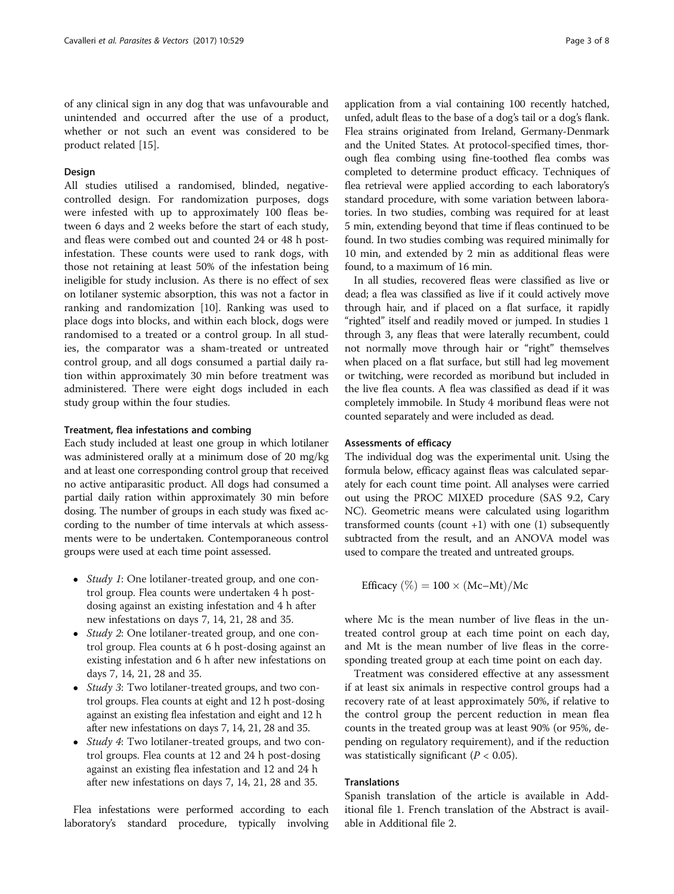of any clinical sign in any dog that was unfavourable and unintended and occurred after the use of a product, whether or not such an event was considered to be product related [[15](#page-7-0)].

#### Design

All studies utilised a randomised, blinded, negativecontrolled design. For randomization purposes, dogs were infested with up to approximately 100 fleas between 6 days and 2 weeks before the start of each study, and fleas were combed out and counted 24 or 48 h postinfestation. These counts were used to rank dogs, with those not retaining at least 50% of the infestation being ineligible for study inclusion. As there is no effect of sex on lotilaner systemic absorption, this was not a factor in ranking and randomization [\[10](#page-7-0)]. Ranking was used to place dogs into blocks, and within each block, dogs were randomised to a treated or a control group. In all studies, the comparator was a sham-treated or untreated control group, and all dogs consumed a partial daily ration within approximately 30 min before treatment was administered. There were eight dogs included in each study group within the four studies.

#### Treatment, flea infestations and combing

Each study included at least one group in which lotilaner was administered orally at a minimum dose of 20 mg/kg and at least one corresponding control group that received no active antiparasitic product. All dogs had consumed a partial daily ration within approximately 30 min before dosing. The number of groups in each study was fixed according to the number of time intervals at which assessments were to be undertaken. Contemporaneous control groups were used at each time point assessed.

- Study 1: One lotilaner-treated group, and one control group. Flea counts were undertaken 4 h postdosing against an existing infestation and 4 h after new infestations on days 7, 14, 21, 28 and 35.
- Study 2: One lotilaner-treated group, and one control group. Flea counts at 6 h post-dosing against an existing infestation and 6 h after new infestations on days 7, 14, 21, 28 and 35.
- *Study 3*: Two lotilaner-treated groups, and two control groups. Flea counts at eight and 12 h post-dosing against an existing flea infestation and eight and 12 h after new infestations on days 7, 14, 21, 28 and 35.
- *Study 4*: Two lotilaner-treated groups, and two control groups. Flea counts at 12 and 24 h post-dosing against an existing flea infestation and 12 and 24 h after new infestations on days 7, 14, 21, 28 and 35.

Flea infestations were performed according to each laboratory's standard procedure, typically involving

application from a vial containing 100 recently hatched, unfed, adult fleas to the base of a dog's tail or a dog's flank. Flea strains originated from Ireland, Germany-Denmark and the United States. At protocol-specified times, thorough flea combing using fine-toothed flea combs was completed to determine product efficacy. Techniques of flea retrieval were applied according to each laboratory's standard procedure, with some variation between laboratories. In two studies, combing was required for at least 5 min, extending beyond that time if fleas continued to be found. In two studies combing was required minimally for 10 min, and extended by 2 min as additional fleas were found, to a maximum of 16 min.

In all studies, recovered fleas were classified as live or dead; a flea was classified as live if it could actively move through hair, and if placed on a flat surface, it rapidly "righted" itself and readily moved or jumped. In studies 1 through 3, any fleas that were laterally recumbent, could not normally move through hair or "right" themselves when placed on a flat surface, but still had leg movement or twitching, were recorded as moribund but included in the live flea counts. A flea was classified as dead if it was completely immobile. In Study 4 moribund fleas were not counted separately and were included as dead.

#### Assessments of efficacy

The individual dog was the experimental unit. Using the formula below, efficacy against fleas was calculated separately for each count time point. All analyses were carried out using the PROC MIXED procedure (SAS 9.2, Cary NC). Geometric means were calculated using logarithm transformed counts (count  $+1$ ) with one (1) subsequently subtracted from the result, and an ANOVA model was used to compare the treated and untreated groups.

Efficacy  $(\%) = 100 \times (Mc-Mt)/Mc$ 

where Mc is the mean number of live fleas in the untreated control group at each time point on each day, and Mt is the mean number of live fleas in the corresponding treated group at each time point on each day.

Treatment was considered effective at any assessment if at least six animals in respective control groups had a recovery rate of at least approximately 50%, if relative to the control group the percent reduction in mean flea counts in the treated group was at least 90% (or 95%, depending on regulatory requirement), and if the reduction was statistically significant ( $P < 0.05$ ).

#### Translations

Spanish translation of the article is available in Additional file [1](#page-6-0). French translation of the Abstract is available in Additional file [2](#page-6-0).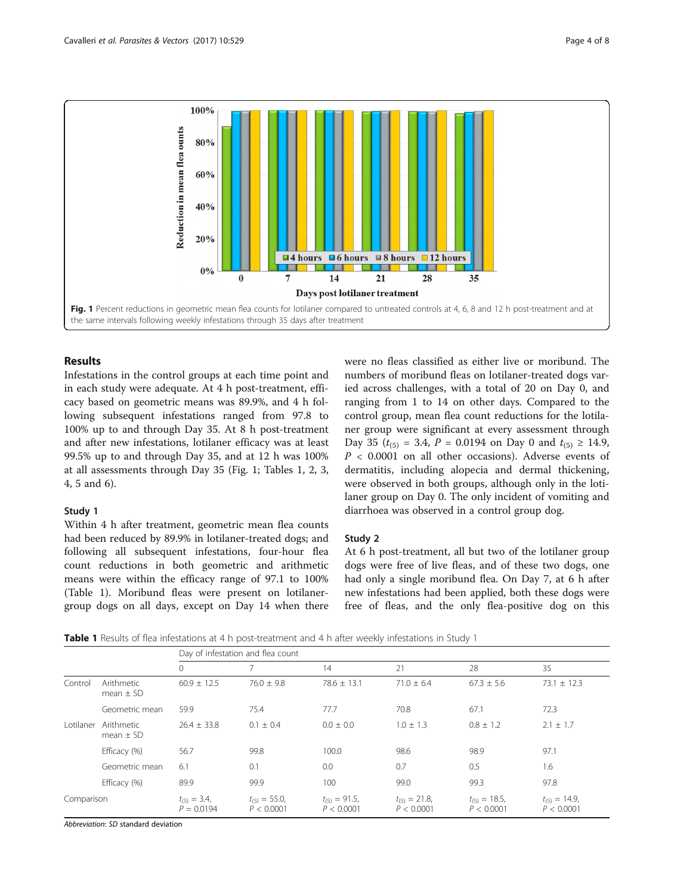

# Results

Infestations in the control groups at each time point and in each study were adequate. At 4 h post-treatment, efficacy based on geometric means was 89.9%, and 4 h following subsequent infestations ranged from 97.8 to 100% up to and through Day 35. At 8 h post-treatment and after new infestations, lotilaner efficacy was at least 99.5% up to and through Day 35, and at 12 h was 100% at all assessments through Day 35 (Fig. 1; Tables 1, [2, 3](#page-4-0), [4, 5](#page-5-0) and [6](#page-6-0)).

### Study 1

Within 4 h after treatment, geometric mean flea counts had been reduced by 89.9% in lotilaner-treated dogs; and following all subsequent infestations, four-hour flea count reductions in both geometric and arithmetic means were within the efficacy range of 97.1 to 100% (Table 1). Moribund fleas were present on lotilanergroup dogs on all days, except on Day 14 when there were no fleas classified as either live or moribund. The numbers of moribund fleas on lotilaner-treated dogs varied across challenges, with a total of 20 on Day 0, and ranging from 1 to 14 on other days. Compared to the control group, mean flea count reductions for the lotilaner group were significant at every assessment through Day 35 ( $t_{(5)} = 3.4$ ,  $P = 0.0194$  on Day 0 and  $t_{(5)} \ge 14.9$ ,  $P < 0.0001$  on all other occasions). Adverse events of dermatitis, including alopecia and dermal thickening, were observed in both groups, although only in the lotilaner group on Day 0. The only incident of vomiting and diarrhoea was observed in a control group dog.

#### Study 2

At 6 h post-treatment, all but two of the lotilaner group dogs were free of live fleas, and of these two dogs, one had only a single moribund flea. On Day 7, at 6 h after new infestations had been applied, both these dogs were free of fleas, and the only flea-positive dog on this

Table 1 Results of flea infestations at 4 h post-treatment and 4 h after weekly infestations in Study 1

|            |                             | Day of infestation and flea count |                                  |                                  |                                |                                  |                                  |  |  |
|------------|-----------------------------|-----------------------------------|----------------------------------|----------------------------------|--------------------------------|----------------------------------|----------------------------------|--|--|
|            |                             | 0                                 |                                  | 14                               | 21                             | 28                               | 35                               |  |  |
| Control    | Arithmetic<br>mean $\pm$ SD | $60.9 \pm 12.5$                   | $76.0 \pm 9.8$                   | $78.6 \pm 13.1$                  | $71.0 \pm 6.4$                 | $67.3 \pm 5.6$                   | $73.1 \pm 12.3$                  |  |  |
|            | Geometric mean              | 59.9                              | 75.4                             | 77.7                             | 70.8                           | 67.1                             | 72.3                             |  |  |
| Lotilaner  | Arithmetic<br>mean $\pm$ SD | $26.4 \pm 33.8$                   | $0.1 \pm 0.4$                    | $0.0 \pm 0.0$                    | $1.0 + 1.3$                    | $0.8 \pm 1.2$                    | $2.1 \pm 1.7$                    |  |  |
|            | Efficacy (%)                | 56.7                              | 99.8                             | 100.0                            | 98.6                           | 98.9                             | 97.1                             |  |  |
|            | Geometric mean              | 6.1                               | 0.1                              | 0.0                              | 0.7                            | 0.5                              | 1.6                              |  |  |
|            | Efficacy (%)                | 89.9                              | 99.9                             | 100                              | 99.0                           | 99.3                             | 97.8                             |  |  |
| Comparison |                             | $t_{(5)} = 3.4$ ,<br>$P = 0.0194$ | $t_{(5)} = 55.0$ ,<br>P < 0.0001 | $t_{(5)} = 91.5$ ,<br>P < 0.0001 | $t_{(5)} = 21.8$<br>P < 0.0001 | $t_{(5)} = 18.5$ ,<br>P < 0.0001 | $t_{(5)} = 14.9$ ,<br>P < 0.0001 |  |  |

Abbreviation: SD standard deviation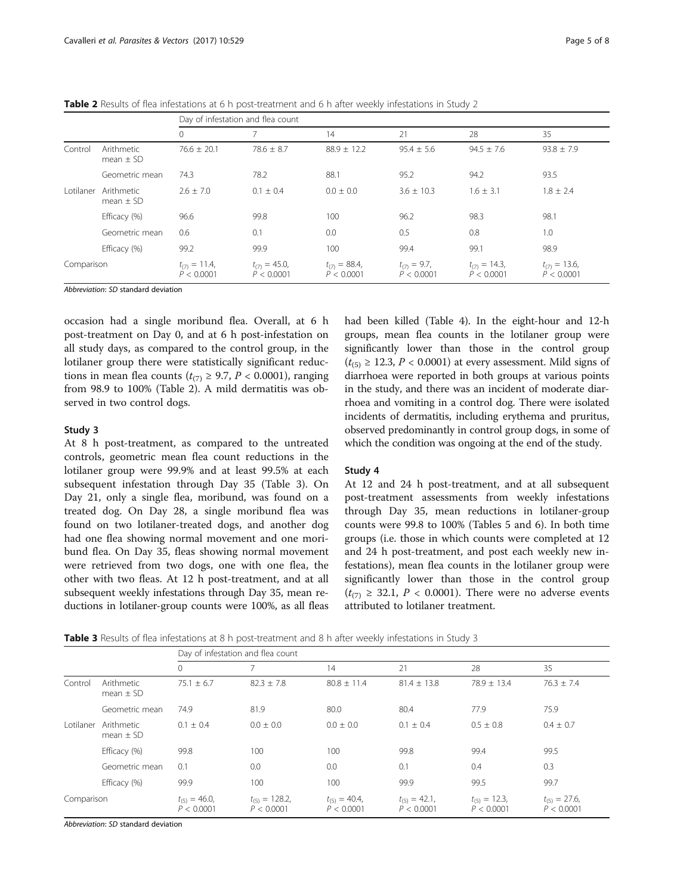<span id="page-4-0"></span>

| <b>Table 2</b> Results of flea infestations at 6 h post-treatment and 6 h after weekly infestations in Study 2 |  |  |
|----------------------------------------------------------------------------------------------------------------|--|--|
|----------------------------------------------------------------------------------------------------------------|--|--|

|            |                             | Day of infestation and flea count |                                  |                                  |                                 |                                  |                                |  |  |
|------------|-----------------------------|-----------------------------------|----------------------------------|----------------------------------|---------------------------------|----------------------------------|--------------------------------|--|--|
|            |                             | $\circ$                           |                                  | 14                               | 21                              | 28                               | 35                             |  |  |
| Control    | Arithmetic<br>mean $\pm$ SD | $76.6 + 20.1$                     | $78.6 \pm 8.7$                   | $88.9 \pm 12.2$                  | $95.4 \pm 5.6$                  | $94.5 \pm 7.6$                   | $93.8 + 7.9$                   |  |  |
|            | Geometric mean              | 74.3                              | 78.2                             | 88.1                             | 95.2                            | 94.2                             | 93.5                           |  |  |
| Lotilaner  | Arithmetic<br>mean $\pm$ SD | $2.6 + 7.0$                       | $0.1 \pm 0.4$                    | $0.0 \pm 0.0$                    | $3.6 \pm 10.3$                  | $1.6 \pm 3.1$                    | $1.8 \pm 2.4$                  |  |  |
|            | Efficacy (%)                | 96.6                              | 99.8                             | 100                              | 96.2                            | 98.3                             | 98.1                           |  |  |
|            | Geometric mean              | 0.6                               | 0.1                              | 0.0                              | 0.5                             | 0.8                              | 1.0                            |  |  |
|            | Efficacy (%)                | 99.2                              | 99.9                             | 100                              | 99.4                            | 99.1                             | 98.9                           |  |  |
| Comparison |                             | $t_{(7)} = 11.4$ ,<br>P < 0.0001  | $t_{(7)} = 45.0$ ,<br>P < 0.0001 | $t_{(7)} = 88.4$ ,<br>P < 0.0001 | $t_{(7)} = 9.7$ ,<br>P < 0.0001 | $t_{(7)} = 14.3$ ,<br>P < 0.0001 | $t_{(7)} = 13.6$<br>P < 0.0001 |  |  |

Abbreviation: SD standard deviation

occasion had a single moribund flea. Overall, at 6 h post-treatment on Day 0, and at 6 h post-infestation on all study days, as compared to the control group, in the lotilaner group there were statistically significant reductions in mean flea counts ( $t_{(7)} \geq 9.7$ ,  $P < 0.0001$ ), ranging from 98.9 to 100% (Table 2). A mild dermatitis was observed in two control dogs.

#### Study 3

At 8 h post-treatment, as compared to the untreated controls, geometric mean flea count reductions in the lotilaner group were 99.9% and at least 99.5% at each subsequent infestation through Day 35 (Table 3). On Day 21, only a single flea, moribund, was found on a treated dog. On Day 28, a single moribund flea was found on two lotilaner-treated dogs, and another dog had one flea showing normal movement and one moribund flea. On Day 35, fleas showing normal movement were retrieved from two dogs, one with one flea, the other with two fleas. At 12 h post-treatment, and at all subsequent weekly infestations through Day 35, mean reductions in lotilaner-group counts were 100%, as all fleas had been killed (Table [4\)](#page-5-0). In the eight-hour and 12-h groups, mean flea counts in the lotilaner group were significantly lower than those in the control group  $(t_{(5)} \geq 12.3, P < 0.0001)$  at every assessment. Mild signs of diarrhoea were reported in both groups at various points in the study, and there was an incident of moderate diarrhoea and vomiting in a control dog. There were isolated incidents of dermatitis, including erythema and pruritus, observed predominantly in control group dogs, in some of which the condition was ongoing at the end of the study.

#### Study 4

At 12 and 24 h post-treatment, and at all subsequent post-treatment assessments from weekly infestations through Day 35, mean reductions in lotilaner-group counts were 99.8 to 100% (Tables [5](#page-5-0) and [6\)](#page-6-0). In both time groups (i.e. those in which counts were completed at 12 and 24 h post-treatment, and post each weekly new infestations), mean flea counts in the lotilaner group were significantly lower than those in the control group  $(t_{(7)} \geq 32.1, P < 0.0001)$ . There were no adverse events attributed to lotilaner treatment.

**Table 3** Results of flea infestations at 8 h post-treatment and 8 h after weekly infestations in Study 3

|            |                             | Day of infestation and flea count |                                 |                                  |                                  |                                  |                                |  |
|------------|-----------------------------|-----------------------------------|---------------------------------|----------------------------------|----------------------------------|----------------------------------|--------------------------------|--|
|            |                             | 0                                 |                                 | 14                               | 21                               | 28                               | 35                             |  |
| Control    | Arithmetic<br>mean $\pm$ SD | $75.1 \pm 6.7$                    | $82.3 \pm 7.8$                  | $80.8 \pm 11.4$                  | $81.4 \pm 13.8$                  | $78.9 \pm 13.4$                  | $76.3 \pm 7.4$                 |  |
|            | Geometric mean              | 74.9                              | 81.9                            | 80.0                             | 80.4                             | 77.9                             | 75.9                           |  |
| Lotilaner  | Arithmetic<br>mean $\pm$ SD | $0.1 \pm 0.4$                     | $0.0 \pm 0.0$                   | $0.0 \pm 0.0$                    | $0.1 \pm 0.4$                    | $0.5 \pm 0.8$                    | $0.4 \pm 0.7$                  |  |
|            | Efficacy (%)                | 99.8                              | 100                             | 100                              | 99.8                             | 99.4                             | 99.5                           |  |
|            | Geometric mean              | 0.1                               | 0.0                             | 0.0                              | 0.1                              | 0.4                              | 0.3                            |  |
|            | Efficacy (%)                | 99.9                              | 100                             | 100                              | 99.9                             | 99.5                             | 99.7                           |  |
| Comparison |                             | $t_{(5)} = 46.0$ ,<br>P < 0.0001  | $t_{(5)} = 128.2$<br>P < 0.0001 | $t_{(5)} = 40.4$ ,<br>P < 0.0001 | $t_{(5)} = 42.1$ ,<br>P < 0.0001 | $t_{(5)} = 12.3$ ,<br>P < 0.0001 | $t_{(5)} = 27.6$<br>P < 0.0001 |  |

Abbreviation: SD standard deviation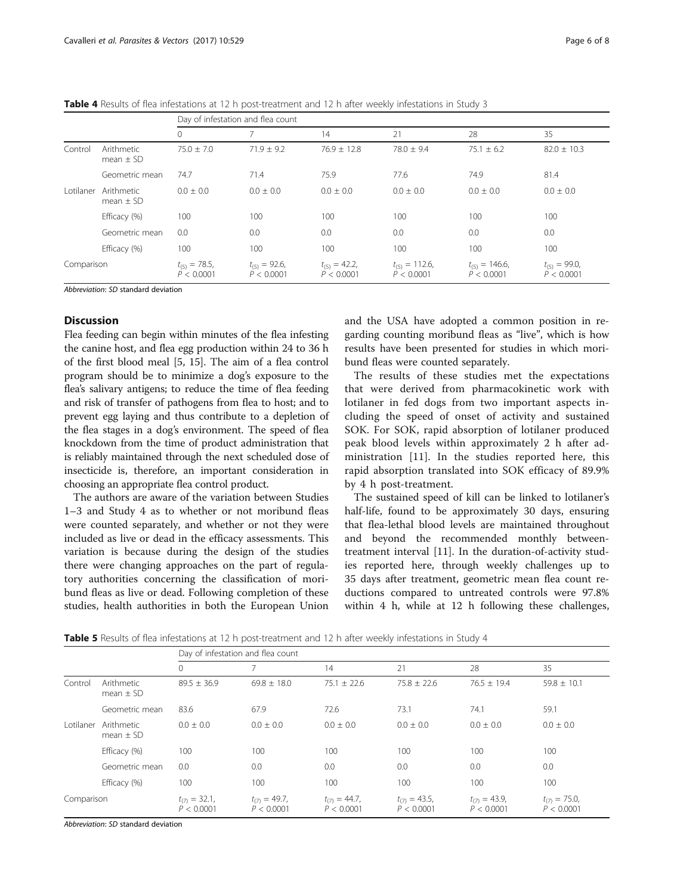<span id="page-5-0"></span>Table 4 Results of flea infestations at 12 h post-treatment and 12 h after weekly infestations in Study 3

|            |                             | Day of infestation and flea count |                                  |                                  |                                   |                                   |                                  |  |
|------------|-----------------------------|-----------------------------------|----------------------------------|----------------------------------|-----------------------------------|-----------------------------------|----------------------------------|--|
|            |                             | 0                                 |                                  | 14                               | 21                                | 28                                | 35                               |  |
| Control    | Arithmetic<br>mean $\pm$ SD | $75.0 \pm 7.0$                    | $71.9 \pm 9.2$                   | $76.9 \pm 12.8$                  | $78.0 \pm 9.4$                    | $75.1 \pm 6.2$                    | $82.0 \pm 10.3$                  |  |
|            | Geometric mean              | 74.7                              | 71.4                             | 75.9                             | 77.6                              | 74.9                              | 81.4                             |  |
| Lotilaner  | Arithmetic<br>mean $\pm$ SD | $0.0 + 0.0$                       | $0.0 \pm 0.0$                    | $0.0 \pm 0.0$                    | $0.0 \pm 0.0$                     | $0.0 \pm 0.0$                     | $0.0 \pm 0.0$                    |  |
|            | Efficacy (%)                | 100                               | 100                              | 100                              | 100                               | 100                               | 100                              |  |
|            | Geometric mean              | 0.0                               | 0.0                              | 0.0                              | 0.0                               | 0.0                               | 0.0                              |  |
|            | Efficacy (%)                | 100                               | 100                              | 100                              | 100                               | 100                               | 100                              |  |
| Comparison |                             | $t_{(5)} = 78.5$ ,<br>P < 0.0001  | $t_{(5)} = 92.6$ ,<br>P < 0.0001 | $t_{(5)} = 42.2$ ,<br>P < 0.0001 | $t_{(5)} = 112.6$ ,<br>P < 0.0001 | $t_{(5)} = 146.6$ ,<br>P < 0.0001 | $t_{(5)} = 99.0$ ,<br>P < 0.0001 |  |

Abbreviation: SD standard deviation

# Discussion

Flea feeding can begin within minutes of the flea infesting the canine host, and flea egg production within 24 to 36 h of the first blood meal [[5](#page-7-0), [15\]](#page-7-0). The aim of a flea control program should be to minimize a dog's exposure to the flea's salivary antigens; to reduce the time of flea feeding and risk of transfer of pathogens from flea to host; and to prevent egg laying and thus contribute to a depletion of the flea stages in a dog's environment. The speed of flea knockdown from the time of product administration that is reliably maintained through the next scheduled dose of insecticide is, therefore, an important consideration in choosing an appropriate flea control product.

The authors are aware of the variation between Studies 1–3 and Study 4 as to whether or not moribund fleas were counted separately, and whether or not they were included as live or dead in the efficacy assessments. This variation is because during the design of the studies there were changing approaches on the part of regulatory authorities concerning the classification of moribund fleas as live or dead. Following completion of these studies, health authorities in both the European Union and the USA have adopted a common position in regarding counting moribund fleas as "live", which is how results have been presented for studies in which moribund fleas were counted separately.

The results of these studies met the expectations that were derived from pharmacokinetic work with lotilaner in fed dogs from two important aspects including the speed of onset of activity and sustained SOK. For SOK, rapid absorption of lotilaner produced peak blood levels within approximately 2 h after administration [[11](#page-7-0)]. In the studies reported here, this rapid absorption translated into SOK efficacy of 89.9% by 4 h post-treatment.

The sustained speed of kill can be linked to lotilaner's half-life, found to be approximately 30 days, ensuring that flea-lethal blood levels are maintained throughout and beyond the recommended monthly betweentreatment interval [\[11](#page-7-0)]. In the duration-of-activity studies reported here, through weekly challenges up to 35 days after treatment, geometric mean flea count reductions compared to untreated controls were 97.8% within 4 h, while at 12 h following these challenges,

Table 5 Results of flea infestations at 12 h post-treatment and 12 h after weekly infestations in Study 4

|            |                             | Day of infestation and flea count |                                  |                                  |                                  |                                  |                                |  |  |
|------------|-----------------------------|-----------------------------------|----------------------------------|----------------------------------|----------------------------------|----------------------------------|--------------------------------|--|--|
|            |                             | 0                                 |                                  | 14                               | 21                               | 28                               | 35                             |  |  |
| Control    | Arithmetic<br>mean $\pm$ SD | $89.5 \pm 36.9$                   | $69.8 \pm 18.0$                  | $75.1 \pm 22.6$                  | $75.8 \pm 22.6$                  | $76.5 \pm 19.4$                  | $59.8 \pm 10.1$                |  |  |
|            | Geometric mean              | 83.6                              | 67.9                             | 72.6                             | 73.1                             | 74.1                             | 59.1                           |  |  |
| Lotilaner  | Arithmetic<br>mean $\pm$ SD | $0.0 \pm 0.0$                     | $0.0 \pm 0.0$                    | $0.0 \pm 0.0$                    | $0.0 \pm 0.0$                    | $0.0 \pm 0.0$                    | $0.0 \pm 0.0$                  |  |  |
|            | Efficacy (%)                | 100                               | 100                              | 100                              | 100                              | 100                              | 100                            |  |  |
|            | Geometric mean              | 0.0                               | 0.0                              | 0.0                              | 0.0                              | 0.0                              | 0.0                            |  |  |
|            | Efficacy (%)                | 100                               | 100                              | 100                              | 100                              | 100                              | 100                            |  |  |
| Comparison |                             | $t_{(7)} = 32.1$ ,<br>P < 0.0001  | $t_{(7)} = 49.7$ ,<br>P < 0.0001 | $t_{(7)} = 44.7$ ,<br>P < 0.0001 | $t_{(7)} = 43.5$ ,<br>P < 0.0001 | $t_{(7)} = 43.9$ ,<br>P < 0.0001 | $t_{(7)} = 75.0$<br>P < 0.0001 |  |  |

Abbreviation: SD standard deviation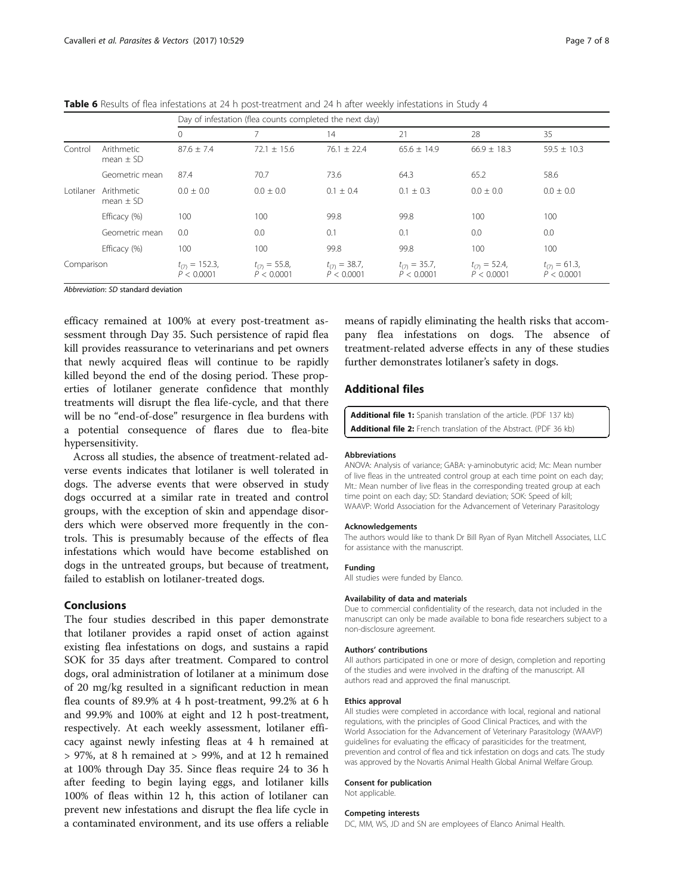<span id="page-6-0"></span>Table 6 Results of flea infestations at 24 h post-treatment and 24 h after weekly infestations in Study 4

|            |                             | Day of infestation (flea counts completed the next day) |                                |                                  |                                  |                                  |                                |  |  |
|------------|-----------------------------|---------------------------------------------------------|--------------------------------|----------------------------------|----------------------------------|----------------------------------|--------------------------------|--|--|
|            |                             | 0                                                       |                                | 14                               | 21                               | 28                               | 35                             |  |  |
| Control    | Arithmetic<br>mean $\pm$ SD | $87.6 \pm 7.4$                                          | $72.1 + 15.6$                  | $76.1 \pm 22.4$                  | $65.6 \pm 14.9$                  | $66.9 \pm 18.3$                  | $59.5 \pm 10.3$                |  |  |
|            | Geometric mean              | 87.4                                                    | 70.7                           | 73.6                             | 64.3                             | 65.2                             | 58.6                           |  |  |
| Lotilaner  | Arithmetic<br>$mean + SD$   | $0.0 + 0.0$                                             | $0.0 \pm 0.0$                  | $0.1 \pm 0.4$                    | $0.1 \pm 0.3$                    | $0.0 \pm 0.0$                    | $0.0 \pm 0.0$                  |  |  |
|            | Efficacy (%)                | 100                                                     | 100                            | 99.8                             | 99.8                             | 100                              | 100                            |  |  |
|            | Geometric mean              | 0.0                                                     | 0.0                            | 0.1                              | 0.1                              | 0.0                              | 0.0                            |  |  |
|            | Efficacy (%)                | 100                                                     | 100                            | 99.8                             | 99.8                             | 100                              | 100                            |  |  |
| Comparison |                             | $t_{(7)} = 152.3$<br>P < 0.0001                         | $t_{(7)} = 55.8$<br>P < 0.0001 | $t_{(7)} = 38.7$ ,<br>P < 0.0001 | $t_{(7)} = 35.7$ ,<br>P < 0.0001 | $t_{(7)} = 52.4$ ,<br>P < 0.0001 | $t_{(7)} = 61.3$<br>P < 0.0001 |  |  |

Abbreviation: SD standard deviation

efficacy remained at 100% at every post-treatment assessment through Day 35. Such persistence of rapid flea kill provides reassurance to veterinarians and pet owners that newly acquired fleas will continue to be rapidly killed beyond the end of the dosing period. These properties of lotilaner generate confidence that monthly treatments will disrupt the flea life-cycle, and that there will be no "end-of-dose" resurgence in flea burdens with a potential consequence of flares due to flea-bite hypersensitivity.

Across all studies, the absence of treatment-related adverse events indicates that lotilaner is well tolerated in dogs. The adverse events that were observed in study dogs occurred at a similar rate in treated and control groups, with the exception of skin and appendage disorders which were observed more frequently in the controls. This is presumably because of the effects of flea infestations which would have become established on dogs in the untreated groups, but because of treatment, failed to establish on lotilaner-treated dogs.

# Conclusions

The four studies described in this paper demonstrate that lotilaner provides a rapid onset of action against existing flea infestations on dogs, and sustains a rapid SOK for 35 days after treatment. Compared to control dogs, oral administration of lotilaner at a minimum dose of 20 mg/kg resulted in a significant reduction in mean flea counts of 89.9% at 4 h post-treatment, 99.2% at 6 h and 99.9% and 100% at eight and 12 h post-treatment, respectively. At each weekly assessment, lotilaner efficacy against newly infesting fleas at 4 h remained at > 97%, at 8 h remained at > 99%, and at 12 h remained at 100% through Day 35. Since fleas require 24 to 36 h after feeding to begin laying eggs, and lotilaner kills 100% of fleas within 12 h, this action of lotilaner can prevent new infestations and disrupt the flea life cycle in a contaminated environment, and its use offers a reliable

means of rapidly eliminating the health risks that accompany flea infestations on dogs. The absence of treatment-related adverse effects in any of these studies further demonstrates lotilaner's safety in dogs.

# Additional files

[Additional file 1:](dx.doi.org/10.1186/s13071-017-2466-0) Spanish translation of the article. (PDF 137 kb) [Additional file 2:](dx.doi.org/10.1186/s13071-017-2466-0) French translation of the Abstract. (PDF 36 kb)

#### Abbreviations

ANOVA: Analysis of variance; GABA: γ-aminobutyric acid; Mc: Mean number of live fleas in the untreated control group at each time point on each day; Mt.: Mean number of live fleas in the corresponding treated group at each time point on each day; SD: Standard deviation; SOK: Speed of kill; WAAVP: World Association for the Advancement of Veterinary Parasitology

#### Acknowledgements

The authors would like to thank Dr Bill Ryan of Ryan Mitchell Associates, LLC for assistance with the manuscript.

#### Funding

All studies were funded by Elanco.

#### Availability of data and materials

Due to commercial confidentiality of the research, data not included in the manuscript can only be made available to bona fide researchers subject to a non-disclosure agreement.

#### Authors' contributions

All authors participated in one or more of design, completion and reporting of the studies and were involved in the drafting of the manuscript. All authors read and approved the final manuscript.

#### Ethics approval

All studies were completed in accordance with local, regional and national regulations, with the principles of Good Clinical Practices, and with the World Association for the Advancement of Veterinary Parasitology (WAAVP) guidelines for evaluating the efficacy of parasiticides for the treatment, prevention and control of flea and tick infestation on dogs and cats. The study was approved by the Novartis Animal Health Global Animal Welfare Group.

#### Consent for publication

Not applicable.

#### Competing interests

DC, MM, WS, JD and SN are employees of Elanco Animal Health.